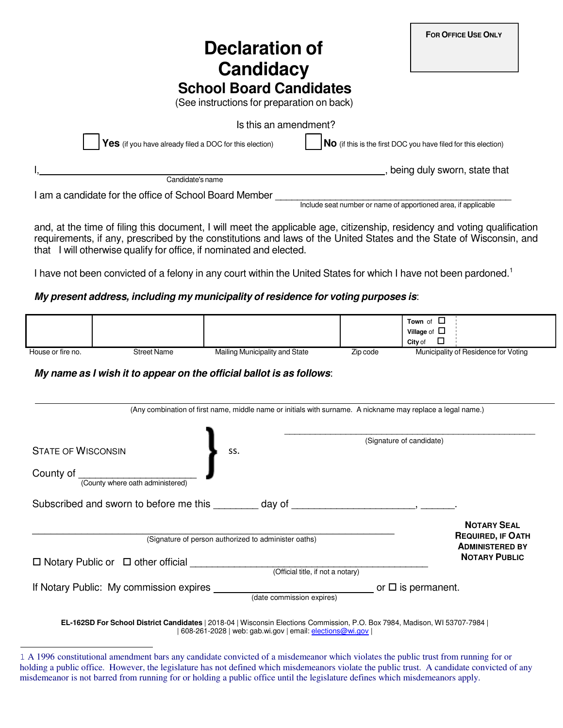|                                                                              | <b>FOR OFFICE USE ONLY</b>                                            |
|------------------------------------------------------------------------------|-----------------------------------------------------------------------|
| <b>Declaration of</b>                                                        |                                                                       |
| <b>Candidacy</b>                                                             |                                                                       |
| <b>School Board Candidates</b><br>(See instructions for preparation on back) |                                                                       |
| Is this an amendment?                                                        |                                                                       |
| <b>Yes</b> (if you have already filed a DOC for this election)               | <b>NO</b> (if this is the first DOC you have filed for this election) |
|                                                                              | being duly sworn, state that                                          |
| Candidate's name                                                             |                                                                       |
| am a candidate for the office of School Board Member                         |                                                                       |
|                                                                              | Include seat number or name of apportioned area, if applicable        |

and, at the time of filing this document, I will meet the applicable age, citizenship, residency and voting qualification requirements, if any, prescribed by the constitutions and laws of the United States and the State of Wisconsin, and that I will otherwise qualify for office, if nominated and elected.

I have not been convicted of a felony in any court within the United States for which I have not been pardoned.<sup>1</sup>

### **My present address, including my municipality of residence for voting purposes is**:

|                   |             |                                |          | <b>Town</b> of                       |
|-------------------|-------------|--------------------------------|----------|--------------------------------------|
|                   |             |                                |          | Village of<br>--                     |
|                   |             |                                |          | City of<br>٠                         |
| House or fire no. | Street Name | Mailing Municipality and State | Zip code | Municipality of Residence for Voting |

#### **My name as I wish it to appear on the official ballot is as follows**:

|                                               |                                                      | (Signature of candidate)                                                                                                                                                                                                       |                                                                            |
|-----------------------------------------------|------------------------------------------------------|--------------------------------------------------------------------------------------------------------------------------------------------------------------------------------------------------------------------------------|----------------------------------------------------------------------------|
| <b>STATE OF WISCONSIN</b>                     | SS.                                                  |                                                                                                                                                                                                                                |                                                                            |
|                                               |                                                      |                                                                                                                                                                                                                                |                                                                            |
| County of<br>(County where oath administered) |                                                      |                                                                                                                                                                                                                                |                                                                            |
|                                               |                                                      |                                                                                                                                                                                                                                |                                                                            |
|                                               |                                                      | Subscribed and sworn to before me this day of the state of the state of the state of the state of the state of the state of the state of the state of the state of the state of the state of the state of the state of the sta |                                                                            |
|                                               |                                                      |                                                                                                                                                                                                                                | <b>NOTARY SEAL</b>                                                         |
|                                               | (Signature of person authorized to administer oaths) |                                                                                                                                                                                                                                |                                                                            |
| $\Box$ Notary Public or $\Box$ other official |                                                      |                                                                                                                                                                                                                                | <b>REQUIRED, IF OATH</b><br><b>ADMINISTERED BY</b><br><b>NOTARY PUBLIC</b> |
|                                               | (Official title, if not a notary)                    |                                                                                                                                                                                                                                |                                                                            |

| 608-261-2028 | web: gab.wi.gov | email: elections@wi.gov |

<sup>1</sup> A 1996 constitutional amendment bars any candidate convicted of a misdemeanor which violates the public trust from running for or holding a public office. However, the legislature has not defined which misdemeanors violate the public trust. A candidate convicted of any misdemeanor is not barred from running for or holding a public office until the legislature defines which misdemeanors apply.